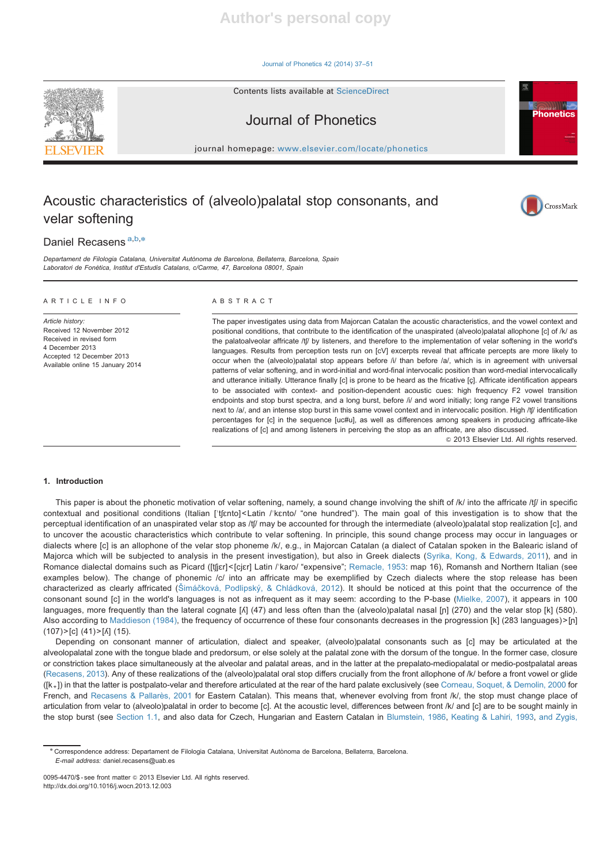Journal of Phonetics 42 (2014) 37–51

Contents lists available at ScienceDirect



Journal of Phonetics

journal homepage: www.elsevier.com/locate/phonetics

# Acoustic characteristics of (alveolo)palatal stop consonants, and velar softening



al of **Phonetics** 

# Daniel Recasens<sup>a,b,\*</sup>

Departament de Filologia Catalana, Universitat Autònoma de Barcelona, Bellaterra, Barcelona, Spain Laboratori de Fonètica, Institut d'Estudis Catalans, c/Carme, 47, Barcelona 08001, Spain

### ARTICLE INFO

Article history: Received 12 November 2012 Received in revised form 4 December 2013 Accepted 12 December 2013 Available online 15 January 2014

### ABSTRACT

The paper investigates using data from Majorcan Catalan the acoustic characteristics, and the vowel context and positional conditions, that contribute to the identification of the unaspirated (alveolo)palatal allophone [c] of /k/ as the palatoalveolar affricate /tʃ/ by listeners, and therefore to the implementation of velar softening in the world's languages. Results from perception tests run on [cV] excerpts reveal that affricate percepts are more likely to occur when the (alveolo)palatal stop appears before /i/ than before /a/, which is in agreement with universal patterns of velar softening, and in word-initial and word-final intervocalic position than word-medial intervocalically and utterance initially. Utterance finally [c] is prone to be heard as the fricative [ç]. Affricate identification appears to be associated with context- and position-dependent acoustic cues: high frequency F2 vowel transition endpoints and stop burst spectra, and a long burst, before /i/ and word initially; long range F2 vowel transitions next to /a/, and an intense stop burst in this same vowel context and in intervocalic position. High /t[/ identification percentages for [c] in the sequence [uc#u], as well as differences among speakers in producing affricate-like realizations of [c] and among listeners in perceiving the stop as an affricate, are also discussed.

 $©$  2013 Elsevier Ltd. All rights reserved.

# 1. Introduction

This paper is about the phonetic motivation of velar softening, namely, a sound change involving the shift of /k/ into the affricate /tf/ in specific contextual and positional conditions (Italian [ˈtʃɛnto]<Latin /ˈkɛnto/ "one hundred"). The main goal of this investigation is to show that the perceptual identification of an unaspirated velar stop as /tʃ/ may be accounted for through the intermediate (alveolo)palatal stop realization [c], and to uncover the acoustic characteristics which contribute to velar softening. In principle, this sound change process may occur in languages or dialects where [c] is an allophone of the velar stop phoneme /k/, e.g., in Majorcan Catalan (a dialect of Catalan spoken in the Balearic island of Majorca which will be subjected to analysis in the present investigation), but also in Greek dialects (Syrika, Kong, & Edwards, 2011), and in Romance dialectal domains such as Picard ([tʃiɛr]<[cjɛr] Latin /ˈkaɾo/ "expensive"; Remacle, 1953: map 16), Romansh and Northern Italian (see examples below). The change of phonemic /c/ into an affricate may be exemplified by Czech dialects where the stop release has been characterized as clearly affricated (Šimáčková, Podlipský, & Chládková, 2012). It should be noticed at this point that the occurrence of the consonant sound [c] in the world's languages is not as infrequent as it may seem: according to the P-base (Mielke, 2007), it appears in 100 languages, more frequently than the lateral cognate [A] (47) and less often than the (alveolo)palatal nasal [n] (270) and the velar stop [k] (580). Also according to Maddieson (1984), the frequency of occurrence of these four consonants decreases in the progression [k] (283 languages)>[n]  $(107)$ >[c]  $(41)$ >[ʎ] (15).

Depending on consonant manner of articulation, dialect and speaker, (alveolo)palatal consonants such as [c] may be articulated at the alveolopalatal zone with the tongue blade and predorsum, or else solely at the palatal zone with the dorsum of the tongue. In the former case, closure or constriction takes place simultaneously at the alveolar and palatal areas, and in the latter at the prepalato-mediopalatal or medio-postpalatal areas (Recasens, 2013). Any of these realizations of the (alveolo)palatal oral stop differs crucially from the front allophone of /k/ before a front vowel or glide ([k+]) in that the latter is postpalato-velar and therefore articulated at the rear of the hard palate exclusively (see Corneau, Soquet, & Demolin, 2000 for French, and Recasens & Pallarès, 2001 for Eastern Catalan). This means that, whenever evolving from front /k/, the stop must change place of articulation from velar to (alveolo)palatal in order to become [c]. At the acoustic level, differences between front /k/ and [c] are to be sought mainly in the stop burst (see Section 1.1, and also data for Czech, Hungarian and Eastern Catalan in Blumstein, 1986, Keating & Lahiri, 1993, and Zygis,

0095-4470/\$ - see front matter & 2013 Elsevier Ltd. All rights reserved. http://dx.doi.org/10.1016/j.wocn.2013.12.003

<sup>n</sup> Correspondence address: Departament de Filologia Catalana, Universitat Autònoma de Barcelona, Bellaterra, Barcelona. E-mail address: daniel.recasens@uab.es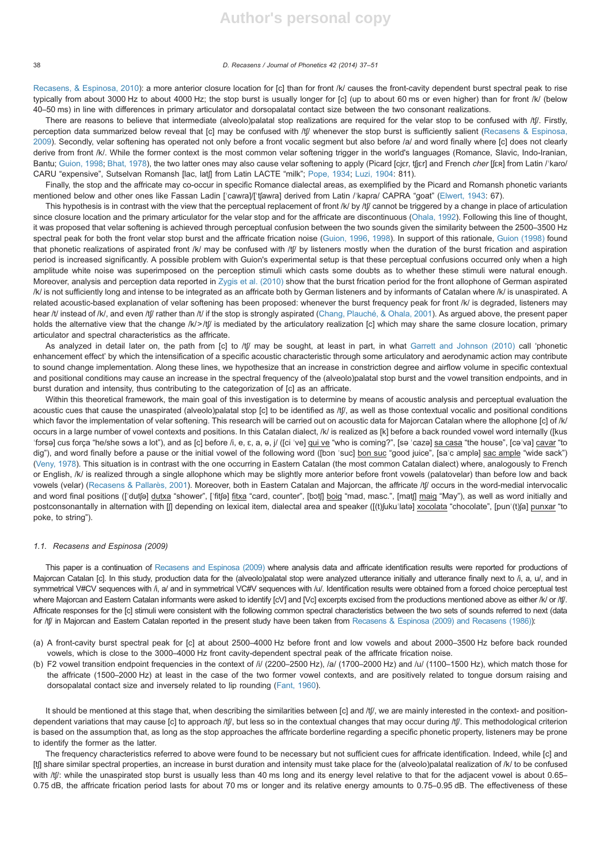Recasens, & Espinosa, 2010): a more anterior closure location for [c] than for front /k/ causes the front-cavity dependent burst spectral peak to rise typically from about 3000 Hz to about 4000 Hz; the stop burst is usually longer for [c] (up to about 60 ms or even higher) than for front /k/ (below 40–50 ms) in line with differences in primary articulator and dorsopalatal contact size between the two consonant realizations.

There are reasons to believe that intermediate (alveolo)palatal stop realizations are required for the velar stop to be confused with /t[/. Firstly, perception data summarized below reveal that [c] may be confused with /t[/ whenever the stop burst is sufficiently salient (Recasens & Espinosa, 2009). Secondly, velar softening has operated not only before a front vocalic segment but also before /a/ and word finally where [c] does not clearly derive from front /k/. While the former context is the most common velar softening trigger in the world's languages (Romance, Slavic, Indo-Iranian, Bantu; Guion, 1998; Bhat, 1978), the two latter ones may also cause velar softening to apply (Picard [cjɛr, tʃjɛr] and French cher [[ɛʀ] from Latin /ˈkaɾo/ CARU "expensive", Sutselvan Romansh [lac, latʃ] from Latin LACTE "milk"; Pope, 1934; Luzi, 1904: 811).

Finally, the stop and the affricate may co-occur in specific Romance dialectal areas, as exemplified by the Picard and Romansh phonetic variants mentioned below and other ones like Fassan Ladin [ˈcawɾa]/[ˈtʃawɾa] derived from Latin /ˈkapɾa/ CAPRA "goat" (Elwert, 1943: 67).

This hypothesis is in contrast with the view that the perceptual replacement of front /k/ by /t[/ cannot be triggered by a change in place of articulation since closure location and the primary articulator for the velar stop and for the affricate are discontinuous (Ohala, 1992). Following this line of thought, it was proposed that velar softening is achieved through perceptual confusion between the two sounds given the similarity between the 2500–3500 Hz spectral peak for both the front velar stop burst and the affricate frication noise (Guion, 1996, 1998). In support of this rationale, Guion (1998) found that phonetic realizations of aspirated front /k/ may be confused with /tf/ by listeners mostly when the duration of the burst frication and aspiration period is increased significantly. A possible problem with Guion's experimental setup is that these perceptual confusions occurred only when a high amplitude white noise was superimposed on the perception stimuli which casts some doubts as to whether these stimuli were natural enough. Moreover, analysis and perception data reported in Zygis et al. (2010) show that the burst frication period for the front allophone of German aspirated /k/ is not sufficiently long and intense to be integrated as an affricate both by German listeners and by informants of Catalan where /k/ is unaspirated. A related acoustic-based explanation of velar softening has been proposed: whenever the burst frequency peak for front /k/ is degraded, listeners may hear /t/ instead of /k/, and even /t[/ rather than /t/ if the stop is strongly aspirated (Chang, Plauché, & Ohala, 2001). As argued above, the present paper holds the alternative view that the change /k/>/tf/ is mediated by the articulatory realization [c] which may share the same closure location, primary articulator and spectral characteristics as the affricate.

As analyzed in detail later on, the path from [c] to /t[/ may be sought, at least in part, in what Garrett and Johnson (2010) call 'phonetic enhancement effect' by which the intensification of a specific acoustic characteristic through some articulatory and aerodynamic action may contribute to sound change implementation. Along these lines, we hypothesize that an increase in constriction degree and airflow volume in specific contextual and positional conditions may cause an increase in the spectral frequency of the (alveolo)palatal stop burst and the vowel transition endpoints, and in burst duration and intensity, thus contributing to the categorization of [c] as an affricate.

Within this theoretical framework, the main goal of this investigation is to determine by means of acoustic analysis and perceptual evaluation the acoustic cues that cause the unaspirated (alveolo)palatal stop [c] to be identified as /tf/, as well as those contextual vocalic and positional conditions which favor the implementation of velar softening. This research will be carried out on acoustic data for Majorcan Catalan where the allophone [c] of /k/ occurs in a large number of vowel contexts and positions. In this Catalan dialect, /k/ is realized as [k] before a back rounded vowel word internally ([kus 'forse] cus força "he/she sows a lot"), and as [c] before /i, e, ɛ, a, ə, j/ ([ci ˈve] qui ve "who is coming?", [sə 'cazə] sa casa "the house", [cə'va] cavar "to dig"), and word finally before a pause or the initial vowel of the following word ([bon 'suc] bon suc "good juice", [sa'c ample] sac ample "wide sack") (Veny, 1978). This situation is in contrast with the one occurring in Eastern Catalan (the most common Catalan dialect) where, analogously to French or English, /k/ is realized through a single allophone which may be slightly more anterior before front vowels (palatovelar) than before low and back vowels (velar) (Recasens & Pallarès, 2001). Moreover, both in Eastern Catalan and Majorcan, the affricate /tʃ/ occurs in the word-medial intervocalic and word final positions (['dutfe] dutxa "shower", ['fitfe] fitxa "card, counter", [bɔtʃ] boig "mad, masc.", [matʃ] maig "May"), as well as word initially and postconsonantally in alternation with [f] depending on lexical item, dialectal area and speaker ([(t)[uku'latə] xocolata "chocolate", [pun|(t)[a] punxar "to poke, to string").

# 1.1. Recasens and Espinosa (2009)

This paper is a continuation of Recasens and Espinosa (2009) where analysis data and affricate identification results were reported for productions of Majorcan Catalan [c]. In this study, production data for the (alveolo)palatal stop were analyzed utterance initially and utterance finally next to /i, a, u/, and in symmetrical V#CV sequences with /i, a/ and in symmetrical VC#V sequences with /u/. Identification results were obtained from a forced choice perceptual test where Majorcan and Eastem Catalan informants were asked to identify [cV] and [Vc] excerpts excised from the productions mentioned above as either /k/ or /tʃ/. Affricate responses for the [c] stimuli were consistent with the following common spectral characteristics between the two sets of sounds referred to next (data for /t[/ in Majorcan and Eastern Catalan reported in the present study have been taken from Recasens & Espinosa (2009) and Recasens (1986)):

- (a) A front-cavity burst spectral peak for [c] at about 2500–4000 Hz before front and low vowels and about 2000–3500 Hz before back rounded vowels, which is close to the 3000–4000 Hz front cavity-dependent spectral peak of the affricate frication noise.
- (b) F2 vowel transition endpoint frequencies in the context of /i/ (2200–2500 Hz), /a/ (1700–2000 Hz) and /u/ (1100–1500 Hz), which match those for the affricate (1500–2000 Hz) at least in the case of the two former vowel contexts, and are positively related to tongue dorsum raising and dorsopalatal contact size and inversely related to lip rounding (Fant, 1960).

It should be mentioned at this stage that, when describing the similarities between [c] and /tʃ/, we are mainly interested in the context- and positiondependent variations that may cause [c] to approach /tʃ/, but less so in the contextual changes that may occur during /tʃ/. This methodological criterion is based on the assumption that, as long as the stop approaches the affricate borderline regarding a specific phonetic property, listeners may be prone to identify the former as the latter.

The frequency characteristics referred to above were found to be necessary but not sufficient cues for affricate identification. Indeed, while [c] and [t]] share similar spectral properties, an increase in burst duration and intensity must take place for the (alveolo)palatal realization of /k/ to be confused with /tʃ/: while the unaspirated stop burst is usually less than 40 ms long and its energy level relative to that for the adjacent vowel is about 0.65– 0.75 dB, the affricate frication period lasts for about 70 ms or longer and its relative energy amounts to 0.75–0.95 dB. The effectiveness of these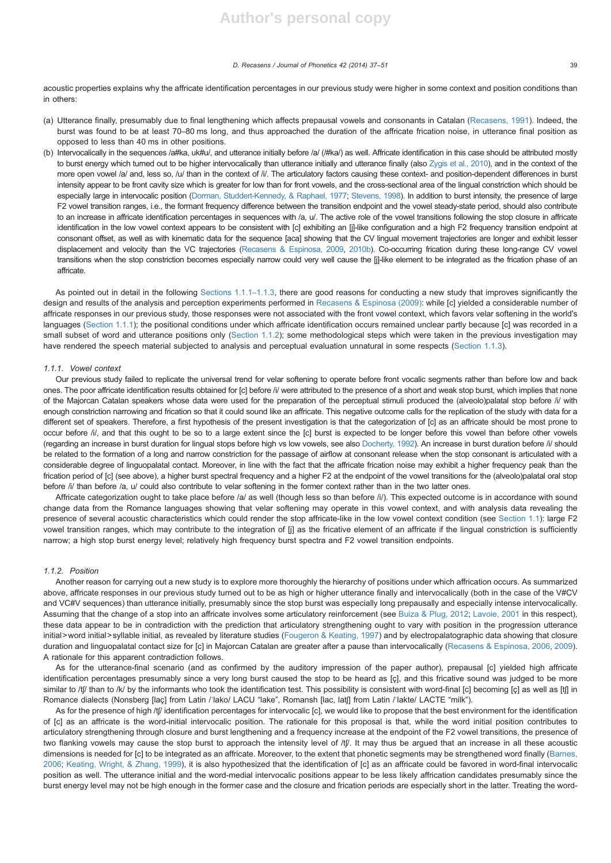acoustic properties explains why the affricate identification percentages in our previous study were higher in some context and position conditions than in others:

- (a) Utterance finally, presumably due to final lengthening which affects prepausal vowels and consonants in Catalan (Recasens, 1991). Indeed, the burst was found to be at least 70–80 ms long, and thus approached the duration of the affricate frication noise, in utterance final position as opposed to less than 40 ms in other positions.
- (b) Intervocalically in the sequences /a#ka, uk#u/, and utterance initially before /a/ (/#ka/) as well. Affricate identification in this case should be attributed mostly to burst energy which turned out to be higher intervocalically than utterance initially and utterance finally (also Zygis et al., 2010), and in the context of the more open vowel /a/ and, less so, /u/ than in the context of /i/. The articulatory factors causing these context- and position-dependent differences in burst intensity appear to be front cavity size which is greater for low than for front vowels, and the cross-sectional area of the lingual constriction which should be especially large in intervocalic position (Dorman, Studdert-Kennedy, & Raphael, 1977; Stevens, 1998). In addition to burst intensity, the presence of large F2 vowel transition ranges, i.e., the formant frequency difference between the transition endpoint and the vowel steady-state period, should also contribute to an increase in affricate identification percentages in sequences with /a, u/. The active role of the vowel transitions following the stop closure in affricate identification in the low vowel context appears to be consistent with [c] exhibiting an [j]-like configuration and a high F2 frequency transition endpoint at consonant offset, as well as with kinematic data for the sequence [aca] showing that the CV lingual movement trajectories are longer and exhibit lesser displacement and velocity than the VC trajectories (Recasens & Espinosa, 2009, 2010b). Co-occurring frication during these long-range CV vowel transitions when the stop constriction becomes especially narrow could very well cause the [j]-like element to be integrated as the frication phase of an affricate.

As pointed out in detail in the following Sections 1.1.1–1.1.3, there are good reasons for conducting a new study that improves significantly the design and results of the analysis and perception experiments performed in Recasens & Espinosa (2009): while [c] yielded a considerable number of affricate responses in our previous study, those responses were not associated with the front vowel context, which favors velar softening in the world's languages (Section 1.1.1); the positional conditions under which affricate identification occurs remained unclear partly because [c] was recorded in a small subset of word and utterance positions only (Section 1.1.2); some methodological steps which were taken in the previous investigation may have rendered the speech material subjected to analysis and perceptual evaluation unnatural in some respects (Section 1.1.3).

#### 1.1.1. Vowel context

Our previous study failed to replicate the universal trend for velar softening to operate before front vocalic segments rather than before low and back ones. The poor affricate identification results obtained for [c] before /i/ were attributed to the presence of a short and weak stop burst, which implies that none of the Majorcan Catalan speakers whose data were used for the preparation of the perceptual stimuli produced the (alveolo)palatal stop before /i/ with enough constriction narrowing and frication so that it could sound like an affricate. This negative outcome calls for the replication of the study with data for a different set of speakers. Therefore, a first hypothesis of the present investigation is that the categorization of [c] as an affricate should be most prone to occur before /i/, and that this ought to be so to a large extent since the [c] burst is expected to be longer before this vowel than before other vowels (regarding an increase in burst duration for lingual stops before high vs low vowels, see also Docherty, 1992). An increase in burst duration before /i/ should be related to the formation of a long and narrow constriction for the passage of airflow at consonant release when the stop consonant is articulated with a considerable degree of linguopalatal contact. Moreover, in line with the fact that the affricate frication noise may exhibit a higher frequency peak than the frication period of [c] (see above), a higher burst spectral frequency and a higher F2 at the endpoint of the vowel transitions for the (alveolo)palatal oral stop before /i/ than before /a, u/ could also contribute to velar softening in the former context rather than in the two latter ones.

Affricate categorization ought to take place before /a/ as well (though less so than before /i/). This expected outcome is in accordance with sound change data from the Romance languages showing that velar softening may operate in this vowel context, and with analysis data revealing the presence of several acoustic characteristics which could render the stop affricate-like in the low vowel context condition (see Section 1.1): large F2 vowel transition ranges, which may contribute to the integration of [j] as the fricative element of an affricate if the lingual constriction is sufficiently narrow; a high stop burst energy level; relatively high frequency burst spectra and F2 vowel transition endpoints.

#### 1.1.2. Position

Another reason for carrying out a new study is to explore more thoroughly the hierarchy of positions under which affrication occurs. As summarized above, affricate responses in our previous study turned out to be as high or higher utterance finally and intervocalically (both in the case of the V#CV and VC#V sequences) than utterance initially, presumably since the stop burst was especially long prepausally and especially intense intervocalically. Assuming that the change of a stop into an affricate involves some articulatory reinforcement (see Buiza & Plug, 2012; Lavoie, 2001 in this respect), these data appear to be in contradiction with the prediction that articulatory strengthening ought to vary with position in the progression utterance initial>word initial>syllable initial, as revealed by literature studies (Fougeron & Keating, 1997) and by electropalatographic data showing that closure duration and linguopalatal contact size for [c] in Majorcan Catalan are greater after a pause than intervocalically (Recasens & Espinosa, 2006, 2009). A rationale for this apparent contradiction follows.

As for the utterance-final scenario (and as confirmed by the auditory impression of the paper author), prepausal [c] yielded high affricate identification percentages presumably since a very long burst caused the stop to be heard as [ç], and this fricative sound was judged to be more similar to /tʃ/ than to /k/ by the informants who took the identification test. This possibility is consistent with word-final [c] becoming [ç] as well as [tʃ] in Romance dialects (Nonsberg [laç] from Latin /ˈlako/ LACU "lake", Romansh [lac, latʃ] from Latin /ˈlakte/ LACTE "milk").

As for the presence of high /t[/ identification percentages for intervocalic [c], we would like to propose that the best environment for the identification of [c] as an affricate is the word-initial intervocalic position. The rationale for this proposal is that, while the word initial position contributes to articulatory strengthening through closure and burst lengthening and a frequency increase at the endpoint of the F2 vowel transitions, the presence of two flanking vowels may cause the stop burst to approach the intensity level of /tʃ/. It may thus be argued that an increase in all these acoustic dimensions is needed for [c] to be integrated as an affricate. Moreover, to the extent that phonetic segments may be strengthened word finally (Barnes, 2006; Keating, Wright, & Zhang, 1999), it is also hypothesized that the identification of [c] as an affricate could be favored in word-final intervocalic position as well. The utterance initial and the word-medial intervocalic positions appear to be less likely affrication candidates presumably since the burst energy level may not be high enough in the former case and the closure and frication periods are especially short in the latter. Treating the word-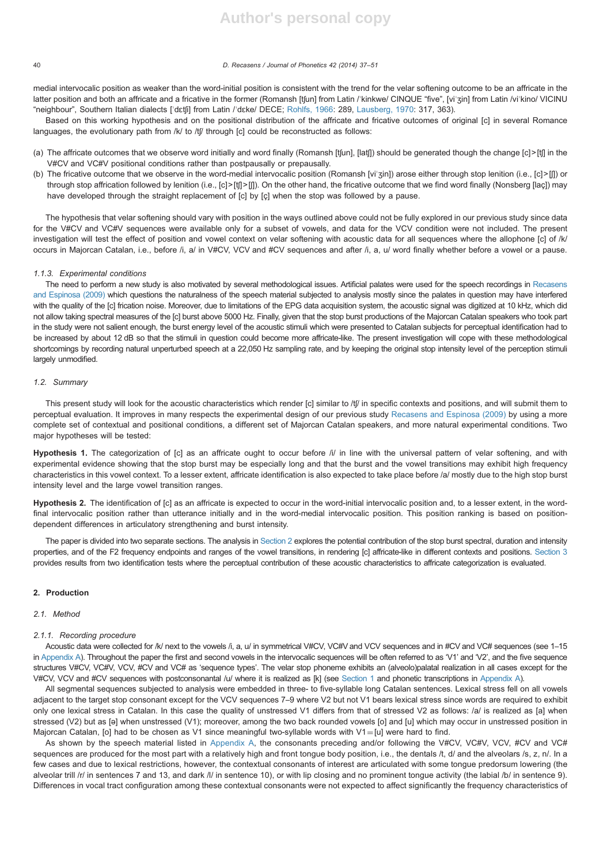medial intervocalic position as weaker than the word-initial position is consistent with the trend for the velar softening outcome to be an affricate in the latter position and both an affricate and a fricative in the former (Romansh [tʃun] from Latin /ˈkinkwe/ CINQUE "five", [vi'ʒin] from Latin /vi'kino/ VICINU "neighbour", Southern Italian dialects [ˈdɛtʃi] from Latin /ˈdɛke/ DECE; Rohlfs, 1966: 289, Lausberg, 1970: 317, 363).

Based on this working hypothesis and on the positional distribution of the affricate and fricative outcomes of original [c] in several Romance languages, the evolutionary path from /k/ to /tʃ/ through [c] could be reconstructed as follows:

- (a) The affricate outcomes that we observe word initially and word finally (Romansh [tʃun], [latʃ]) should be generated though the change [c]>[tʃ] in the V#CV and VC#V positional conditions rather than postpausally or prepausally.
- (b) The fricative outcome that we observe in the word-medial intervocalic position (Romansh [viˈʒin]) arose either through stop lenition (i.e., [c]>[ʃ]) or through stop affrication followed by lenition (i.e., [c]>[t[]>[f]). On the other hand, the fricative outcome that we find word finally (Nonsberg [laç]) may have developed through the straight replacement of [c] by [ç] when the stop was followed by a pause.

The hypothesis that velar softening should vary with position in the ways outlined above could not be fully explored in our previous study since data for the V#CV and VC#V sequences were available only for a subset of vowels, and data for the VCV condition were not included. The present investigation will test the effect of position and vowel context on velar softening with acoustic data for all sequences where the allophone [c] of /k/ occurs in Majorcan Catalan, i.e., before /i, a/ in V#CV, VCV and #CV sequences and after /i, a, u/ word finally whether before a vowel or a pause.

### 1.1.3. Experimental conditions

The need to perform a new study is also motivated by several methodological issues. Artificial palates were used for the speech recordings in Recasens and Espinosa (2009) which questions the naturalness of the speech material subjected to analysis mostly since the palates in question may have interfered with the quality of the [c] frication noise. Moreover, due to limitations of the EPG data acquisition system, the acoustic signal was digitized at 10 kHz, which did not allow taking spectral measures of the [c] burst above 5000 Hz. Finally, given that the stop burst productions of the Majorcan Catalan speakers who took part in the study were not salient enough, the burst energy level of the acoustic stimuli which were presented to Catalan subjects for perceptual identification had to be increased by about 12 dB so that the stimuli in question could become more affricate-like. The present investigation will cope with these methodological shortcomings by recording natural unperturbed speech at a 22,050 Hz sampling rate, and by keeping the original stop intensity level of the perception stimuli largely unmodified.

# 1.2. Summary

This present study will look for the acoustic characteristics which render [c] similar to /tʃ/ in specific contexts and positions, and will submit them to perceptual evaluation. It improves in many respects the experimental design of our previous study Recasens and Espinosa (2009) by using a more complete set of contextual and positional conditions, a different set of Majorcan Catalan speakers, and more natural experimental conditions. Two major hypotheses will be tested:

Hypothesis 1. The categorization of [c] as an affricate ought to occur before /i/ in line with the universal pattern of velar softening, and with experimental evidence showing that the stop burst may be especially long and that the burst and the vowel transitions may exhibit high frequency characteristics in this vowel context. To a lesser extent, affricate identification is also expected to take place before /a/ mostly due to the high stop burst intensity level and the large vowel transition ranges.

Hypothesis 2. The identification of [c] as an affricate is expected to occur in the word-initial intervocalic position and, to a lesser extent, in the wordfinal intervocalic position rather than utterance initially and in the word-medial intervocalic position. This position ranking is based on positiondependent differences in articulatory strengthening and burst intensity.

The paper is divided into two separate sections. The analysis in Section 2 explores the potential contribution of the stop burst spectral, duration and intensity properties, and of the F2 frequency endpoints and ranges of the vowel transitions, in rendering [c] affricate-like in different contexts and positions. Section 3 provides results from two identification tests where the perceptual contribution of these acoustic characteristics to affricate categorization is evaluated.

# 2. Production

### 2.1. Method

### 2.1.1. Recording procedure

Acoustic data were collected for /k/ next to the vowels /i, a, u/ in symmetrical V#CV, VC#V and VCV sequences and in #CV and VC# sequences (see 1–15 in Appendix A). Throughout the paper the first and second vowels in the intervocalic sequences will be often referred to as 'V1' and 'V2', and the five sequence structures V#CV, VC#V, VCV, #CV and VC# as 'sequence types'. The velar stop phoneme exhibits an (alveolo)palatal realization in all cases except for the V#CV, VCV and #CV sequences with postconsonantal /u/ where it is realized as [k] (see Section 1 and phonetic transcriptions in Appendix A).

All segmental sequences subjected to analysis were embedded in three- to five-syllable long Catalan sentences. Lexical stress fell on all vowels adjacent to the target stop consonant except for the VCV sequences 7–9 where V2 but not V1 bears lexical stress since words are required to exhibit only one lexical stress in Catalan. In this case the quality of unstressed V1 differs from that of stressed V2 as follows: /a/ is realized as [a] when stressed (V2) but as [ə] when unstressed (V1); moreover, among the two back rounded vowels [o] and [u] which may occur in unstressed position in Majorcan Catalan, [o] had to be chosen as V1 since meaningful two-syllable words with V1=[u] were hard to find.

As shown by the speech material listed in Appendix A, the consonants preceding and/or following the V#CV, VC#V, VCV, #CV and VC# sequences are produced for the most part with a relatively high and front tongue body position, i.e., the dentals /t, d/ and the alveolars /s, z, n/. In a few cases and due to lexical restrictions, however, the contextual consonants of interest are articulated with some tongue predorsum lowering (the alveolar trill /r/ in sentences 7 and 13, and dark /l/ in sentence 10), or with lip closing and no prominent tongue activity (the labial /b/ in sentence 9). Differences in vocal tract configuration among these contextual consonants were not expected to affect significantly the frequency characteristics of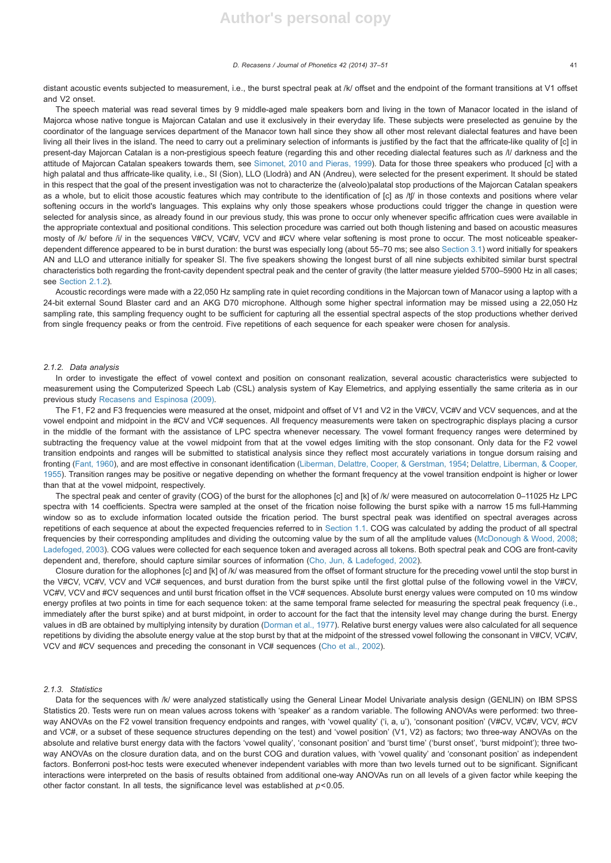distant acoustic events subjected to measurement, i.e., the burst spectral peak at /k/ offset and the endpoint of the formant transitions at V1 offset and V2 onset.

The speech material was read several times by 9 middle-aged male speakers born and living in the town of Manacor located in the island of Majorca whose native tongue is Majorcan Catalan and use it exclusively in their everyday life. These subjects were preselected as genuine by the coordinator of the language services department of the Manacor town hall since they show all other most relevant dialectal features and have been living all their lives in the island. The need to carry out a preliminary selection of informants is justified by the fact that the affricate-like quality of [c] in present-day Majorcan Catalan is a non-prestigious speech feature (regarding this and other receding dialectal features such as /l/ darkness and the attitude of Majorcan Catalan speakers towards them, see Simonet, 2010 and Pieras, 1999). Data for those three speakers who produced [c] with a high palatal and thus affricate-like quality, i.e., SI (Sion), LLO (Llodrà) and AN (Andreu), were selected for the present experiment. It should be stated in this respect that the goal of the present investigation was not to characterize the (alveolo)palatal stop productions of the Majorcan Catalan speakers as a whole, but to elicit those acoustic features which may contribute to the identification of [c] as /t[/ in those contexts and positions where velar softening occurs in the world's languages. This explains why only those speakers whose productions could trigger the change in question were selected for analysis since, as already found in our previous study, this was prone to occur only whenever specific affrication cues were available in the appropriate contextual and positional conditions. This selection procedure was carried out both though listening and based on acoustic measures mosty of /k/ before /i/ in the sequences V#CV, VC#V, VCV and #CV where velar softening is most prone to occur. The most noticeable speakerdependent difference appeared to be in burst duration: the burst was especially long (about 55–70 ms; see also Section 3.1) word initially for speakers AN and LLO and utterance initially for speaker SI. The five speakers showing the longest burst of all nine subjects exhibited similar burst spectral characteristics both regarding the front-cavity dependent spectral peak and the center of gravity (the latter measure yielded 5700–5900 Hz in all cases; see Section 2.1.2).

Acoustic recordings were made with a 22,050 Hz sampling rate in quiet recording conditions in the Majorcan town of Manacor using a laptop with a 24-bit external Sound Blaster card and an AKG D70 microphone. Although some higher spectral information may be missed using a 22,050 Hz sampling rate, this sampling frequency ought to be sufficient for capturing all the essential spectral aspects of the stop productions whether derived from single frequency peaks or from the centroid. Five repetitions of each sequence for each speaker were chosen for analysis.

# 2.1.2. Data analysis

In order to investigate the effect of vowel context and position on consonant realization, several acoustic characteristics were subjected to measurement using the Computerized Speech Lab (CSL) analysis system of Kay Elemetrics, and applying essentially the same criteria as in our previous study Recasens and Espinosa (2009).

The F1, F2 and F3 frequencies were measured at the onset, midpoint and offset of V1 and V2 in the V#CV, VC#V and VCV sequences, and at the vowel endpoint and midpoint in the #CV and VC# sequences. All frequency measurements were taken on spectrographic displays placing a cursor in the middle of the formant with the assistance of LPC spectra whenever necessary. The vowel formant frequency ranges were determined by subtracting the frequency value at the vowel midpoint from that at the vowel edges limiting with the stop consonant. Only data for the F2 vowel transition endpoints and ranges will be submitted to statistical analysis since they reflect most accurately variations in tongue dorsum raising and fronting (Fant, 1960), and are most effective in consonant identification (Liberman, Delattre, Cooper, & Gerstman, 1954; Delattre, Liberman, & Cooper, 1955). Transition ranges may be positive or negative depending on whether the formant frequency at the vowel transition endpoint is higher or lower than that at the vowel midpoint, respectively.

The spectral peak and center of gravity (COG) of the burst for the allophones [c] and [k] of /k/ were measured on autocorrelation 0–11025 Hz LPC spectra with 14 coefficients. Spectra were sampled at the onset of the frication noise following the burst spike with a narrow 15 ms full-Hamming window so as to exclude information located outside the frication period. The burst spectral peak was identified on spectral averages across repetitions of each sequence at about the expected frequencies referred to in Section 1.1. COG was calculated by adding the product of all spectral frequencies by their corresponding amplitudes and dividing the outcoming value by the sum of all the amplitude values (McDonough & Wood, 2008; Ladefoged, 2003). COG values were collected for each sequence token and averaged across all tokens. Both spectral peak and COG are front-cavity dependent and, therefore, should capture similar sources of information (Cho, Jun, & Ladefoged, 2002).

Closure duration for the allophones [c] and [k] of /k/ was measured from the offset of formant structure for the preceding vowel until the stop burst in the V#CV, VC#V, VCV and VC# sequences, and burst duration from the burst spike until the first glottal pulse of the following vowel in the V#CV, VC#V, VCV and #CV sequences and until burst frication offset in the VC# sequences. Absolute burst energy values were computed on 10 ms window energy profiles at two points in time for each sequence token: at the same temporal frame selected for measuring the spectral peak frequency (i.e., immediately after the burst spike) and at burst midpoint, in order to account for the fact that the intensity level may change during the burst. Energy values in dB are obtained by multiplying intensity by duration (Dorman et al., 1977). Relative burst energy values were also calculated for all sequence repetitions by dividing the absolute energy value at the stop burst by that at the midpoint of the stressed vowel following the consonant in V#CV, VC#V, VCV and #CV sequences and preceding the consonant in VC# sequences (Cho et al., 2002).

# 2.1.3. Statistics

Data for the sequences with /k/ were analyzed statistically using the General Linear Model Univariate analysis design (GENLIN) on IBM SPSS Statistics 20. Tests were run on mean values across tokens with 'speaker' as a random variable. The following ANOVAs were performed: two threeway ANOVAs on the F2 vowel transition frequency endpoints and ranges, with 'vowel quality' ('i, a, u'), 'consonant position' (V#CV, VC#V, VCV, #CV and VC#, or a subset of these sequence structures depending on the test) and 'vowel position' (V1, V2) as factors; two three-way ANOVAs on the absolute and relative burst energy data with the factors 'vowel quality', 'consonant position' and 'burst time' ('burst onset', 'burst midpoint'); three twoway ANOVAs on the closure duration data, and on the burst COG and duration values, with 'vowel quality' and 'consonant position' as independent factors. Bonferroni post-hoc tests were executed whenever independent variables with more than two levels turned out to be significant. Significant interactions were interpreted on the basis of results obtained from additional one-way ANOVAs run on all levels of a given factor while keeping the other factor constant. In all tests, the significance level was established at  $p < 0.05$ .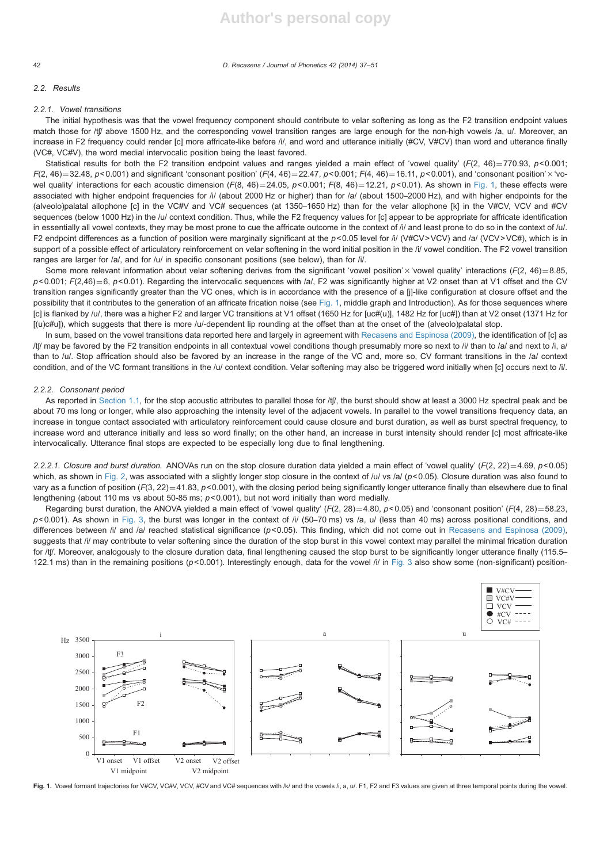# **Author's personal copy**

#### 42 D. Recasens / Journal of Phonetics 42 (2014) 37–51

# 2.2. Results

# 2.2.1. Vowel transitions

The initial hypothesis was that the vowel frequency component should contribute to velar softening as long as the F2 transition endpoint values match those for /t[/ above 1500 Hz, and the corresponding vowel transition ranges are large enough for the non-high vowels /a, u/. Moreover, an increase in F2 frequency could render [c] more affricate-like before /i/, and word and utterance initially (#CV, V#CV) than word and utterance finally (VC#, VC#V), the word medial intervocalic position being the least favored.

Statistical results for both the F2 transition endpoint values and ranges yielded a main effect of 'vowel quality'  $(F(2, 46)=770.93, p<0.001;$  $F(2, 46) = 32.48$ ,  $p < 0.001$ ) and significant 'consonant position' ( $F(4, 46) = 22.47$ ,  $p < 0.001$ ;  $F(4, 46) = 16.11$ ,  $p < 0.001$ ), and 'consonant position'×'vowel quality' interactions for each acoustic dimension  $(F(8, 46) = 24.05, p < 0.001; F(8, 46) = 12.21, p < 0.01$ ). As shown in Fig. 1, these effects were associated with higher endpoint frequencies for /i/ (about 2000 Hz or higher) than for /a/ (about 1500-2000 Hz), and with higher endpoints for the (alveolo)palatal allophone [c] in the VC#V and VC# sequences (at 1350–1650 Hz) than for the velar allophone [k] in the V#CV, VCV and #CV sequences (below 1000 Hz) in the /u/ context condition. Thus, while the F2 frequency values for [c] appear to be appropriate for affricate identification in essentially all vowel contexts, they may be most prone to cue the affricate outcome in the context of /i/ and least prone to do so in the context of /u/. F2 endpoint differences as a function of position were marginally significant at the p<0.05 level for /i/ (V#CV>VCV) and /a/ (VCV>VC#), which is in support of a possible effect of articulatory reinforcement on velar softening in the word initial position in the /i/ vowel condition. The F2 vowel transition ranges are larger for /a/, and for /u/ in specific consonant positions (see below), than for /i/.

Some more relevant information about velar softening derives from the significant 'vowel position' × 'vowel quality' interactions ( $F(2, 46) = 8.85$ )  $p$ <0.001;  $F(2,46) = 6$ ,  $p$ <0.01). Regarding the intervocalic sequences with /a/, F2 was significantly higher at V2 onset than at V1 offset and the CV transition ranges significantly greater than the VC ones, which is in accordance with the presence of a [j]-like configuration at closure offset and the possibility that it contributes to the generation of an affricate frication noise (see Fig. 1, middle graph and Introduction). As for those sequences where [c] is flanked by /u/, there was a higher F2 and larger VC transitions at V1 offset (1650 Hz for [uc#(u)], 1482 Hz for [uc#]) than at V2 onset (1371 Hz for [(u)c#u]), which suggests that there is more /u/-dependent lip rounding at the offset than at the onset of the (alveolo)palatal stop.

In sum, based on the vowel transitions data reported here and largely in agreement with Recasens and Espinosa (2009), the identification of [c] as /t[/ may be favored by the F2 transition endpoints in all contextual vowel conditions though presumably more so next to /i/ than to /a/ and next to /i, a/ than to /u/. Stop affrication should also be favored by an increase in the range of the VC and, more so, CV formant transitions in the /a/ context condition, and of the VC formant transitions in the /u/ context condition. Velar softening may also be triggered word initially when [c] occurs next to /i/.

#### 2.2.2. Consonant period

As reported in Section 1.1, for the stop acoustic attributes to parallel those for /t[/, the burst should show at least a 3000 Hz spectral peak and be about 70 ms long or longer, while also approaching the intensity level of the adjacent vowels. In parallel to the vowel transitions frequency data, an increase in tongue contact associated with articulatory reinforcement could cause closure and burst duration, as well as burst spectral frequency, to increase word and utterance initially and less so word finally; on the other hand, an increase in burst intensity should render [c] most affricate-like intervocalically. Utterance final stops are expected to be especially long due to final lengthening.

2.2.2.1. Closure and burst duration. ANOVAs run on the stop closure duration data yielded a main effect of 'vowel quality' ( $F(2, 22) = 4.69$ ,  $p < 0.05$ ) which, as shown in Fig. 2, was associated with a slightly longer stop closure in the context of /u/ vs /a/ ( $p$ <0.05). Closure duration was also found to vary as a function of position ( $F(3, 22) = 41.83$ ,  $p < 0.001$ ), with the closing period being significantly longer utterance finally than elsewhere due to final lengthening (about 110 ms vs about 50-85 ms;  $p$ <0.001), but not word initially than word medially.

Regarding burst duration, the ANOVA yielded a main effect of 'vowel quality' ( $F(2, 28) = 4.80$ ,  $p < 0.05$ ) and 'consonant position' ( $F(4, 28) = 58.23$ ,  $p$ <0.001). As shown in Fig. 3, the burst was longer in the context of  $\hbar$  (50–70 ms) vs /a, u/ (less than 40 ms) across positional conditions, and differences between /i/ and /a/ reached statistical significance (p<0.05). This finding, which did not come out in Recasens and Espinosa (2009), suggests that *li/* may contribute to velar softening since the duration of the stop burst in this vowel context may parallel the minimal frication duration for /t[/. Moreover, analogously to the closure duration data, final lengthening caused the stop burst to be significantly longer utterance finally (115.5– 122.1 ms) than in the remaining positions (p<0.001). Interestingly enough, data for the vowel /i/ in Fig. 3 also show some (non-significant) position-



Fig. 1. Vowel formant trajectories for V#CV, VC#V, VCV, #CV and VC# sequences with /k/ and the vowels /i, a, u/. F1, F2 and F3 values are given at three temporal points during the vowel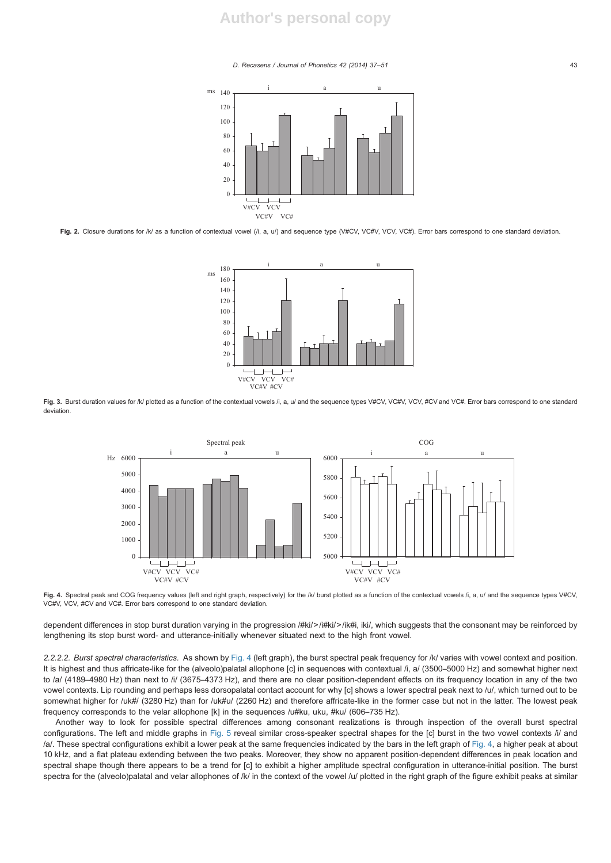# **Author's personal copy**

#### D. Recasens / Journal of Phonetics 42 (2014) 37–51 43



Fig. 2. Closure durations for  $\frac{1}{K}$  as a function of contextual vowel  $\langle i, a, u \rangle$  and sequence type  $\langle \frac{u}{K} \rangle$ ,  $\langle \frac{v}{K} \rangle$ ,  $\langle \frac{v}{K} \rangle$ ,  $\langle \frac{v}{K} \rangle$ ,  $\langle \frac{v}{K} \rangle$ . Error bars correspond to one standard devi



Fig. 3. Burst duration values for /k/ plotted as a function of the contextual vowels /i, a, u/ and the sequence types V#CV, VC#V, VCV, #CV and VC#. Error bars correspond to one standard deviation.



Fig. 4. Spectral peak and COG frequency values (left and right graph, respectively) for the /k/ burst plotted as a function of the contextual vowels /i, a, u/ and the sequence types V#CV, VC#V, VCV, #CV and VC#. Error bars correspond to one standard deviation.

dependent differences in stop burst duration varying in the progression /#ki/>/i#ki/>/ik#i, iki/, which suggests that the consonant may be reinforced by lengthening its stop burst word- and utterance-initially whenever situated next to the high front vowel.

2.2.2.2. Burst spectral characteristics. As shown by Fig. 4 (left graph), the burst spectral peak frequency for /k/ varies with vowel context and position. It is highest and thus affricate-like for the (alveolo)palatal allophone [c] in sequences with contextual /i, a/ (3500-5000 Hz) and somewhat higher next to /a/ (4189–4980 Hz) than next to /i/ (3675–4373 Hz), and there are no clear position-dependent effects on its frequency location in any of the two vowel contexts. Lip rounding and perhaps less dorsopalatal contact account for why [c] shows a lower spectral peak next to /u/, which turned out to be somewhat higher for /uk#/ (3280 Hz) than for /uk#u/ (2260 Hz) and therefore affricate-like in the former case but not in the latter. The lowest peak frequency corresponds to the velar allophone [k] in the sequences /u#ku, uku, #ku/ (606–735 Hz).

Another way to look for possible spectral differences among consonant realizations is through inspection of the overall burst spectral configurations. The left and middle graphs in Fig. 5 reveal similar cross-speaker spectral shapes for the [c] burst in the two vowel contexts /i/ and /a/. These spectral configurations exhibit a lower peak at the same frequencies indicated by the bars in the left graph of Fig. 4, a higher peak at about 10 kHz, and a flat plateau extending between the two peaks. Moreover, they show no apparent position-dependent differences in peak location and spectral shape though there appears to be a trend for [c] to exhibit a higher amplitude spectral configuration in utterance-initial position. The burst spectra for the (alveolo)palatal and velar allophones of /k/ in the context of the vowel /u/ plotted in the right graph of the figure exhibit peaks at similar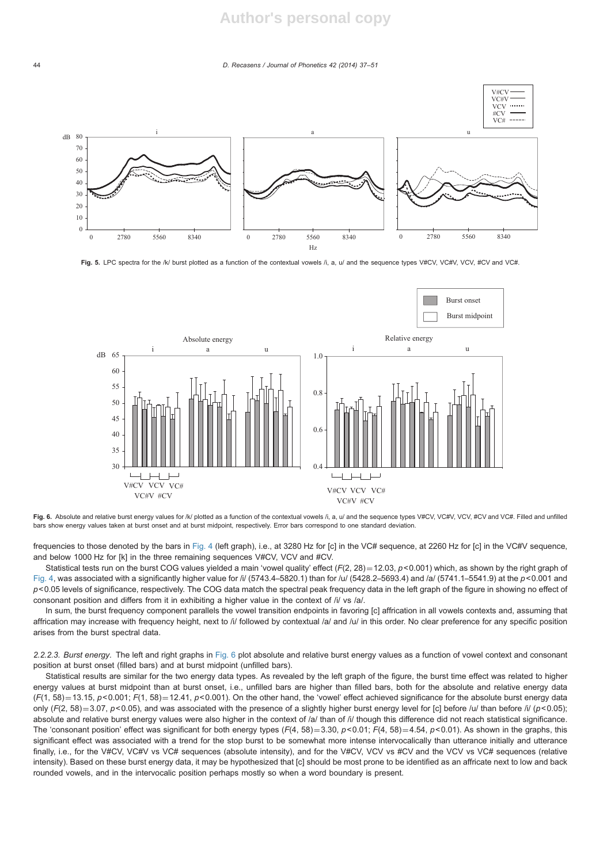

Fig. 5. LPC spectra for the /k/ burst plotted as a function of the contextual vowels /i, a, u/ and the sequence types V#CV, VC#V, VCV, #CV and VC#.



Fig. 6. Absolute and relative burst energy values for /k/ plotted as a function of the contextual vowels /i, a, u/ and the sequence types V#CV, VC#V, VCV, #CV and VC#. Filled and unfilled bars show energy values taken at burst onset and at burst midpoint, respectively. Error bars correspond to one standard deviation.

frequencies to those denoted by the bars in Fig. 4 (left graph), i.e., at 3280 Hz for [c] in the VC# sequence, at 2260 Hz for [c] in the VC#V sequence, and below 1000 Hz for [k] in the three remaining sequences V#CV, VCV and #CV.

Statistical tests run on the burst COG values yielded a main 'vowel quality' effect  $(F(2, 28) = 12.03, p < 0.001)$  which, as shown by the right graph of Fig. 4, was associated with a significantly higher value for /i/ (5743.4–5820.1) than for /u/ (5428.2–5693.4) and /a/ (5741.1–5541.9) at the p <0.001 and  $p$ <0.05 levels of significance, respectively. The COG data match the spectral peak frequency data in the left graph of the figure in showing no effect of consonant position and differs from it in exhibiting a higher value in the context of /i/ vs /a/.

In sum, the burst frequency component parallels the vowel transition endpoints in favoring [c] affrication in all vowels contexts and, assuming that affrication may increase with frequency height, next to /i/ followed by contextual /a/ and /u/ in this order. No clear preference for any specific position arises from the burst spectral data.

2.2.2.3. Burst energy. The left and right graphs in Fig. 6 plot absolute and relative burst energy values as a function of vowel context and consonant position at burst onset (filled bars) and at burst midpoint (unfilled bars).

Statistical results are similar for the two energy data types. As revealed by the left graph of the figure, the burst time effect was related to higher energy values at burst midpoint than at burst onset, i.e., unfilled bars are higher than filled bars, both for the absolute and relative energy data  $(F(1, 58) = 13.15, p < 0.001; F(1, 58) = 12.41, p < 0.001$ ). On the other hand, the 'vowel' effect achieved significance for the absolute burst energy data only ( $F(2, 58) = 3.07$ ,  $p < 0.05$ ), and was associated with the presence of a slightly higher burst energy level for [c] before /u/ than before *ii*/ ( $p < 0.05$ ); absolute and relative burst energy values were also higher in the context of /a/ than of /i/ though this difference did not reach statistical significance. The 'consonant position' effect was significant for both energy types  $(F(4, 58)=3.30, p<0.01; F(4, 58)=4.54, p<0.01$ . As shown in the graphs, this significant effect was associated with a trend for the stop burst to be somewhat more intense intervocalically than utterance initially and utterance finally, i.e., for the V#CV, VC#V vs VC# sequences (absolute intensity), and for the V#CV, VCV vs #CV and the VCV vs VC# sequences (relative intensity). Based on these burst energy data, it may be hypothesized that [c] should be most prone to be identified as an affricate next to low and back rounded vowels, and in the intervocalic position perhaps mostly so when a word boundary is present.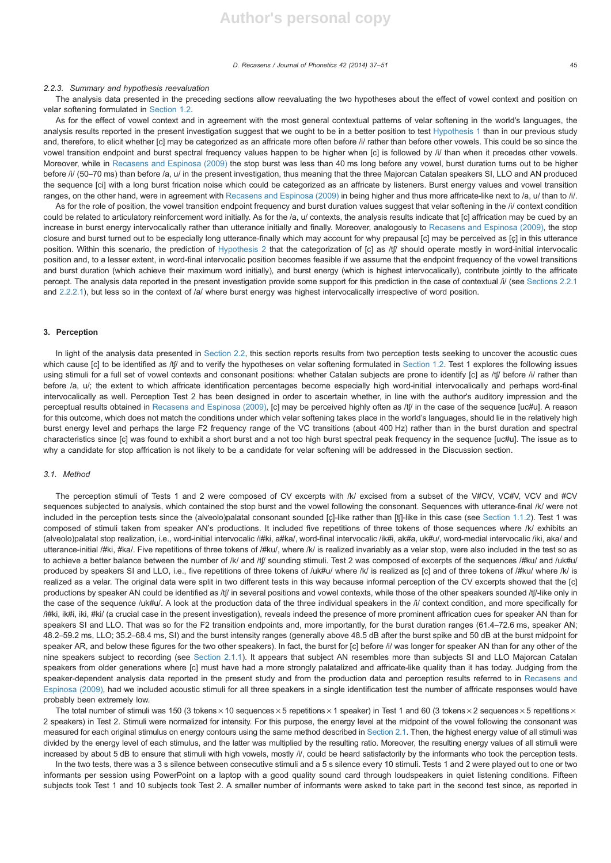### 2.2.3. Summary and hypothesis reevaluation

The analysis data presented in the preceding sections allow reevaluating the two hypotheses about the effect of vowel context and position on velar softening formulated in Section 1.2.

As for the effect of vowel context and in agreement with the most general contextual patterns of velar softening in the world's languages, the analysis results reported in the present investigation suggest that we ought to be in a better position to test Hypothesis 1 than in our previous study and, therefore, to elicit whether [c] may be categorized as an affricate more often before *i*|/ rather than before other vowels. This could be so since the vowel transition endpoint and burst spectral frequency values happen to be higher when [c] is followed by /i/ than when it precedes other vowels. Moreover, while in Recasens and Espinosa (2009) the stop burst was less than 40 ms long before any vowel, burst duration turns out to be higher before /i/ (50-70 ms) than before /a, u/ in the present investigation, thus meaning that the three Majorcan Catalan speakers SI, LLO and AN produced the sequence [ci] with a long burst frication noise which could be categorized as an affricate by listeners. Burst energy values and vowel transition ranges, on the other hand, were in agreement with Recasens and Espinosa (2009) in being higher and thus more affricate-like next to /a, u/ than to /i/.

As for the role of position, the vowel transition endpoint frequency and burst duration values suggest that velar softening in the /i/ context condition could be related to articulatory reinforcement word initially. As for the /a, u/ contexts, the analysis results indicate that [c] affrication may be cued by an increase in burst energy intervocalically rather than utterance initially and finally. Moreover, analogously to Recasens and Espinosa (2009), the stop closure and burst turned out to be especially long utterance-finally which may account for why prepausal [c] may be perceived as [ç] in this utterance position. Within this scenario, the prediction of Hypothesis 2 that the categorization of [c] as /tʃ/ should operate mostly in word-initial intervocalic position and, to a lesser extent, in word-final intervocalic position becomes feasible if we assume that the endpoint frequency of the vowel transitions and burst duration (which achieve their maximum word initially), and burst energy (which is highest intervocalically), contribute jointly to the affricate percept. The analysis data reported in the present investigation provide some support for this prediction in the case of contextual /i/ (see Sections 2.2.1 and 2.2.2.1), but less so in the context of /a/ where burst energy was highest intervocalically irrespective of word position.

# 3. Perception

In light of the analysis data presented in Section 2.2, this section reports results from two perception tests seeking to uncover the acoustic cues which cause [c] to be identified as /tʃ/ and to verify the hypotheses on velar softening formulated in Section 1.2. Test 1 explores the following issues using stimuli for a full set of vowel contexts and consonant positions: whether Catalan subjects are prone to identify [c] as /tʃ/ before /i/ rather than before /a, u/; the extent to which affricate identification percentages become especially high word-initial intervocalically and perhaps word-final intervocalically as well. Perception Test 2 has been designed in order to ascertain whether, in line with the author's auditory impression and the perceptual results obtained in Recasens and Espinosa (2009), [c] may be perceived highly often as /tʃ/ in the case of the sequence [uc#u]. A reason for this outcome, which does not match the conditions under which velar softening takes place in the world's languages, should lie in the relatively high burst energy level and perhaps the large F2 frequency range of the VC transitions (about 400 Hz) rather than in the burst duration and spectral characteristics since [c] was found to exhibit a short burst and a not too high burst spectral peak frequency in the sequence [uc#u]. The issue as to why a candidate for stop affrication is not likely to be a candidate for velar softening will be addressed in the Discussion section.

# 3.1. Method

The perception stimuli of Tests 1 and 2 were composed of CV excerpts with /k/ excised from a subset of the V#CV, VC#V, VCV and #CV sequences subjected to analysis, which contained the stop burst and the vowel following the consonant. Sequences with utterance-final /k/ were not included in the perception tests since the (alveolo)palatal consonant sounded [ç]-like rather than [tʃ]-like in this case (see Section 1.1.2). Test 1 was composed of stimuli taken from speaker AN's productions. It included five repetitions of three tokens of those sequences where /k/ exhibits an (alveolo)palatal stop realization, i.e., word-initial intervocalic /i#ki, a#ka/, word-final intervocalic /ik#i, ak#a, uk#u/, word-medial intervocalic /iki, aka/ and utterance-initial /#ki, #ka/. Five repetitions of three tokens of /#ku/, where /k/ is realized invariably as a velar stop, were also included in the test so as to achieve a better balance between the number of /k/ and /t[/ sounding stimuli. Test 2 was composed of excerpts of the sequences /#ku/ and /uk#u/ produced by speakers SI and LLO, i.e., five repetitions of three tokens of /uk#u/ where /k/ is realized as [c] and of three tokens of /#ku/ where /k/ is realized as a velar. The original data were split in two different tests in this way because informal perception of the CV excerpts showed that the [c] productions by speaker AN could be identified as /t[/ in several positions and vowel contexts, while those of the other speakers sounded /t[/-like only in the case of the sequence /uk#u/. A look at the production data of the three individual speakers in the /i/ context condition, and more specifically for /i#ki, ik#i, iki, #ki/ (a crucial case in the present investigation), reveals indeed the presence of more prominent affrication cues for speaker AN than for speakers SI and LLO. That was so for the F2 transition endpoints and, more importantly, for the burst duration ranges (61.4–72.6 ms, speaker AN; 48.2–59.2 ms, LLO; 35.2–68.4 ms, SI) and the burst intensity ranges (generally above 48.5 dB after the burst spike and 50 dB at the burst midpoint for speaker AR, and below these figures for the two other speakers). In fact, the burst for [c] before /i/ was longer for speaker AN than for any other of the nine speakers subject to recording (see Section 2.1.1). It appears that subject AN resembles more than subjects SI and LLO Majorcan Catalan speakers from older generations where [c] must have had a more strongly palatalized and affricate-like quality than it has today. Judging from the speaker-dependent analysis data reported in the present study and from the production data and perception results referred to in Recasens and Espinosa (2009), had we included acoustic stimuli for all three speakers in a single identification test the number of affricate responses would have probably been extremely low.

The total number of stimuli was 150 (3 tokens × 10 sequences × 5 repetitions × 1 speaker) in Test 1 and 60 (3 tokens × 2 sequences × 5 repetitions × 2 speakers) in Test 2. Stimuli were normalized for intensity. For this purpose, the energy level at the midpoint of the vowel following the consonant was measured for each original stimulus on energy contours using the same method described in Section 2.1. Then, the highest energy value of all stimuli was divided by the energy level of each stimulus, and the latter was multiplied by the resulting ratio. Moreover, the resulting energy values of all stimuli were increased by about 5 dB to ensure that stimuli with high vowels, mostly /i/, could be heard satisfactorily by the informants who took the perception tests.

In the two tests, there was a 3 s silence between consecutive stimuli and a 5 s silence every 10 stimuli. Tests 1 and 2 were played out to one or two informants per session using PowerPoint on a laptop with a good quality sound card through loudspeakers in quiet listening conditions. Fifteen subjects took Test 1 and 10 subjects took Test 2. A smaller number of informants were asked to take part in the second test since, as reported in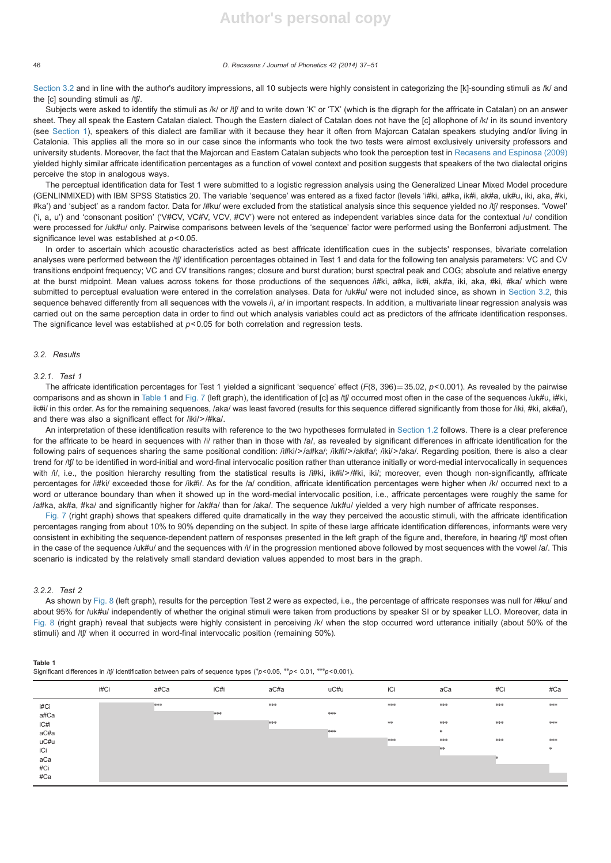Section 3.2 and in line with the author's auditory impressions, all 10 subjects were highly consistent in categorizing the [k]-sounding stimuli as /k/ and the [c] sounding stimuli as /tʃ/.

Subjects were asked to identify the stimuli as /k/ or /t[/ and to write down 'K' or 'TX' (which is the digraph for the affricate in Catalan) on an answer sheet. They all speak the Eastern Catalan dialect. Though the Eastern dialect of Catalan does not have the [c] allophone of /k/ in its sound inventory (see Section 1), speakers of this dialect are familiar with it because they hear it often from Majorcan Catalan speakers studying and/or living in Catalonia. This applies all the more so in our case since the informants who took the two tests were almost exclusively university professors and university students. Moreover, the fact that the Majorcan and Eastern Catalan subjects who took the perception test in Recasens and Espinosa (2009) yielded highly similar affricate identification percentages as a function of vowel context and position suggests that speakers of the two dialectal origins perceive the stop in analogous ways.

The perceptual identification data for Test 1 were submitted to a logistic regression analysis using the Generalized Linear Mixed Model procedure (GENLINMIXED) with IBM SPSS Statistics 20. The variable 'sequence' was entered as a fixed factor (levels 'i#ki, a#ka, ik#i, ak#a, uk#u, iki, aka, #ki, #ka') and 'subject' as a random factor. Data for /#ku/ were excluded from the statistical analysis since this sequence yielded no /tʃ/ responses. 'Vowel' ('i, a, u') and 'consonant position' ('V#CV, VC#V, VCV, #CV') were not entered as independent variables since data for the contextual /u/ condition were processed for /uk#u/ only. Pairwise comparisons between levels of the 'sequence' factor were performed using the Bonferroni adjustment. The significance level was established at  $p < 0.05$ .

In order to ascertain which acoustic characteristics acted as best affricate identification cues in the subjects' responses, bivariate correlation analyses were performed between the /tʃ/ identification percentages obtained in Test 1 and data for the following ten analysis parameters: VC and CV transitions endpoint frequency; VC and CV transitions ranges; closure and burst duration; burst spectral peak and COG; absolute and relative energy at the burst midpoint. Mean values across tokens for those productions of the sequences /i#ki, a#ka, ik#i, ak#a, iki, aka, #ki, #ka/ which were submitted to perceptual evaluation were entered in the correlation analyses. Data for /uk#u/ were not included since, as shown in Section 3.2, this sequence behaved differently from all sequences with the vowels /i, a/ in important respects. In addition, a multivariate linear regression analysis was carried out on the same perception data in order to find out which analysis variables could act as predictors of the affricate identification responses. The significance level was established at  $p < 0.05$  for both correlation and regression tests.

# 3.2. Results

# 3.2.1. Test 1

The affricate identification percentages for Test 1 yielded a significant 'sequence' effect ( $F(8, 396) = 35.02$ ,  $p < 0.001$ ). As revealed by the pairwise comparisons and as shown in Table 1 and Fig. 7 (left graph), the identification of [c] as /t[/ occurred most often in the case of the sequences /uk#u, i#ki, ik#i/ in this order. As for the remaining sequences, /aka/ was least favored (results for this sequence differed significantly from those for /iki, #ki, ak#a/), and there was also a significant effect for /iki/>/#ka/.

An interpretation of these identification results with reference to the two hypotheses formulated in Section 1.2 follows. There is a clear preference for the affricate to be heard in sequences with /i/ rather than in those with /a/, as revealed by significant differences in affricate identification for the following pairs of sequences sharing the same positional condition: /i#ki/>/a#ka/; /ik#i/>/ak#a/; /iki/>/aka/. Regarding position, there is also a clear trend for /t[/ to be identified in word-initial and word-final intervocalic position rather than utterance initially or word-medial intervocalically in sequences with /i/, i.e., the position hierarchy resulting from the statistical results is /i#ki, ik#i/>/#ki, iki/; moreover, even though non-significantly, affricate percentages for /i#ki/ exceeded those for /ik#i/. As for the /a/ condition, affricate identification percentages were higher when /k/ occurred next to a word or utterance boundary than when it showed up in the word-medial intervocalic position, i.e., affricate percentages were roughly the same for /a#ka, ak#a, #ka/ and significantly higher for /ak#a/ than for /aka/. The sequence /uk#u/ yielded a very high number of affricate responses.

Fig. 7 (right graph) shows that speakers differed quite dramatically in the way they perceived the acoustic stimuli, with the affricate identification percentages ranging from about 10% to 90% depending on the subject. In spite of these large affricate identification differences, informants were very consistent in exhibiting the sequence-dependent pattern of responses presented in the left graph of the figure and, therefore, in hearing /tf/ most often in the case of the sequence /uk#u/ and the sequences with /i/ in the progression mentioned above followed by most sequences with the vowel /a/. This scenario is indicated by the relatively small standard deviation values appended to most bars in the graph.

# 3.2.2. Test 2

As shown by Fig. 8 (left graph), results for the perception Test 2 were as expected, i.e., the percentage of affricate responses was null for /#ku/ and about 95% for /uk#u/ independently of whether the original stimuli were taken from productions by speaker SI or by speaker LLO. Moreover, data in Fig. 8 (right graph) reveal that subjects were highly consistent in perceiving /k/ when the stop occurred word utterance initially (about 50% of the stimuli) and /tf/ when it occurred in word-final intervocalic position (remaining 50%).

#### Table 1

Significant differences in /tʃ/ identification between pairs of sequence types (\*p<0.05, \*\*p<0.01, \*\*\*p<0.001).

|              | i#Ci | a#Ca | iC#i          | aC#a | uC#u          | iCi           | aCa                            | #Ci | #Ca                  |
|--------------|------|------|---------------|------|---------------|---------------|--------------------------------|-----|----------------------|
| i#Ci<br>a#Ca |      | 未来来  | $\frac{1}{2}$ | ***  | $\frac{1}{2}$ | $\frac{1}{2}$ | $\frac{1}{2}$                  | *** | $ \mathbf{k}\rangle$ |
| iC#i<br>aC#a |      |      |               | 未来来  | 未来来           | $\frac{1}{2}$ | $\frac{1}{2}$<br>$\frac{1}{2}$ | *** | $ \mathbf{k}\rangle$ |
| uC#u         |      |      |               |      |               | k             | $\frac{1}{2}$<br>本本            | *** | k <br>sh             |
| iCi<br>aCa   |      |      |               |      |               |               |                                |     |                      |
| #Ci<br>#Ca   |      |      |               |      |               |               |                                |     |                      |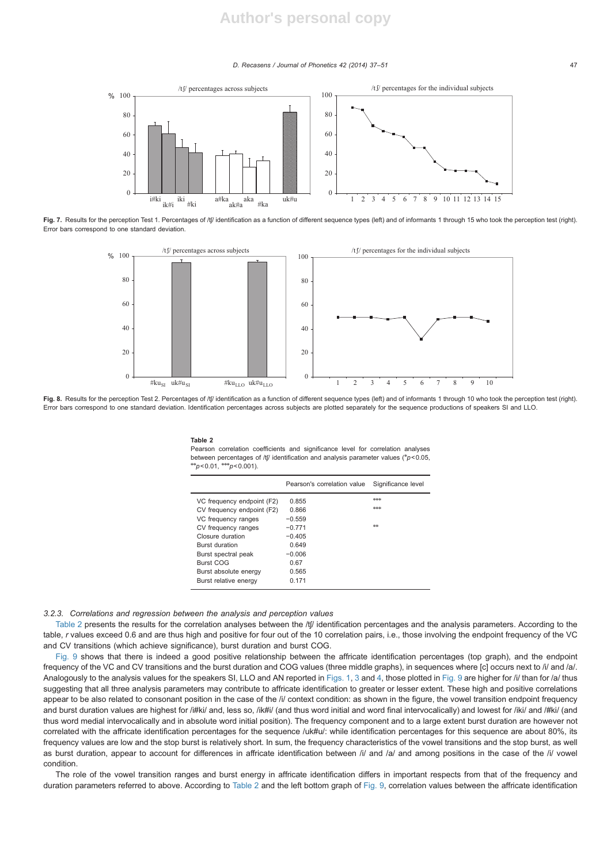

Fig. 7. Results for the perception Test 1. Percentages of /tʃ/ identification as a function of different sequence types (left) and of informants 1 through 15 who took the perception test (right). Error bars correspond to one standard deviation.



Fig. 8. Results for the perception Test 2. Percentages of /tʃ/ identification as a function of different sequence types (left) and of informants 1 through 10 who took the perception test (right). Error bars correspond to one standard deviation. Identification percentages across subjects are plotted separately for the sequence productions of speakers SI and LLO.

#### Table 2

Pearson correlation coefficients and significance level for correlation analyses between percentages of /tf/ identification and analysis parameter values ( $p$ <0.05,  $n_{p}$  < 0.01,  $n_{p}$  < 0.001).

|                            | Pearson's correlation value | Significance level |
|----------------------------|-----------------------------|--------------------|
| VC frequency endpoint (F2) | 0.855                       | x                  |
| CV frequency endpoint (F2) | 0.866                       | x                  |
| VC frequency ranges        | $-0.559$                    |                    |
| CV frequency ranges        | $-0.771$                    | skak.              |
| Closure duration           | $-0.405$                    |                    |
| <b>Burst duration</b>      | 0649                        |                    |
| Burst spectral peak        | $-0.006$                    |                    |
| Burst COG                  | 0.67                        |                    |
| Burst absolute energy      | 0.565                       |                    |
| Burst relative energy      | 0.171                       |                    |

# 3.2.3. Correlations and regression between the analysis and perception values

Table 2 presents the results for the correlation analyses between the /tʃ/ identification percentages and the analysis parameters. According to the table, r values exceed 0.6 and are thus high and positive for four out of the 10 correlation pairs, i.e., those involving the endpoint frequency of the VC and CV transitions (which achieve significance), burst duration and burst COG.

Fig. 9 shows that there is indeed a good positive relationship between the affricate identification percentages (top graph), and the endpoint frequency of the VC and CV transitions and the burst duration and COG values (three middle graphs), in sequences where [c] occurs next to /i/ and /a/. Analogously to the analysis values for the speakers SI, LLO and AN reported in Figs. 1, 3 and 4, those plotted in Fig. 9 are higher for /i/ than for /a/ thus suggesting that all three analysis parameters may contribute to affricate identification to greater or lesser extent. These high and positive correlations appear to be also related to consonant position in the case of the /i/ context condition: as shown in the figure, the vowel transition endpoint frequency and burst duration values are highest for /i#ki/ and, less so, /ik#i/ (and thus word initial and word final intervocalically) and lowest for /iki/ and /#ki/ (and thus word medial intervocalically and in absolute word initial position). The frequency component and to a large extent burst duration are however not correlated with the affricate identification percentages for the sequence /uk#u/: while identification percentages for this sequence are about 80%, its frequency values are low and the stop burst is relatively short. In sum, the frequency characteristics of the vowel transitions and the stop burst, as well as burst duration, appear to account for differences in affricate identification between /i/ and /a/ and among positions in the case of the /i/ vowel condition.

The role of the vowel transition ranges and burst energy in affricate identification differs in important respects from that of the frequency and duration parameters referred to above. According to Table 2 and the left bottom graph of Fig. 9, correlation values between the affricate identification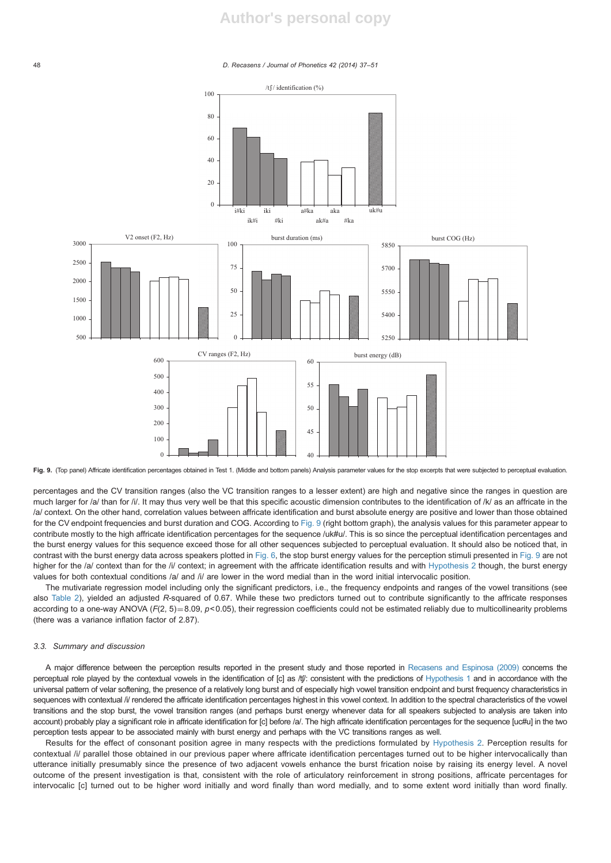# **Author's personal copy**

#### 48 D. Recasens / Journal of Phonetics 42 (2014) 37–51



Fig. 9. (Top panel) Affricate identification percentages obtained in Test 1. (Middle and bottom panels) Analysis parameter values for the stop excerpts that were subjected to perceptual evaluation.

percentages and the CV transition ranges (also the VC transition ranges to a lesser extent) are high and negative since the ranges in question are much larger for /a/ than for /i/. It may thus very well be that this specific acoustic dimension contributes to the identification of /k/ as an affricate in the /a/ context. On the other hand, correlation values between affricate identification and burst absolute energy are positive and lower than those obtained for the CV endpoint frequencies and burst duration and COG. According to Fig. 9 (right bottom graph), the analysis values for this parameter appear to contribute mostly to the high affricate identification percentages for the sequence /uk#u/. This is so since the perceptual identification percentages and the burst energy values for this sequence exceed those for all other sequences subjected to perceptual evaluation. It should also be noticed that, in contrast with the burst energy data across speakers plotted in Fig. 6, the stop burst energy values for the perception stimuli presented in Fig. 9 are not higher for the /a/ context than for the /i/ context; in agreement with the affricate identification results and with Hypothesis 2 though, the burst energy values for both contextual conditions /a/ and /i/ are lower in the word medial than in the word initial intervocalic position.

The mutivariate regression model including only the significant predictors, i.e., the frequency endpoints and ranges of the vowel transitions (see also Table 2), yielded an adjusted R-squared of 0.67. While these two predictors turned out to contribute significantly to the affricate responses according to a one-way ANOVA ( $F(2, 5) = 8.09$ ,  $p < 0.05$ ), their regression coefficients could not be estimated reliably due to multicollinearity problems (there was a variance inflation factor of 2.87).

# 3.3. Summary and discussion

A major difference between the perception results reported in the present study and those reported in Recasens and Espinosa (2009) concerns the perceptual role played by the contextual vowels in the identification of [c] as /tʃ/: consistent with the predictions of Hypothesis 1 and in accordance with the universal pattern of velar softening, the presence of a relatively long burst and of especially high vowel transition endpoint and burst frequency characteristics in sequences with contextual /i/ rendered the affricate identification percentages highest in this vowel context. In addition to the spectral characteristics of the vowel transitions and the stop burst, the vowel transition ranges (and perhaps burst energy whenever data for all speakers subjected to analysis are taken into account) probably play a significant role in affricate identification for [c] before /a/. The high affricate identification percentages for the sequence [uc#u] in the two perception tests appear to be associated mainly with burst energy and perhaps with the VC transitions ranges as well.

Results for the effect of consonant position agree in many respects with the predictions formulated by Hypothesis 2. Perception results for contextual *ii* parallel those obtained in our previous paper where affricate identification percentages turned out to be higher intervocalically than utterance initially presumably since the presence of two adjacent vowels enhance the burst frication noise by raising its energy level. A novel outcome of the present investigation is that, consistent with the role of articulatory reinforcement in strong positions, affricate percentages for intervocalic [c] turned out to be higher word initially and word finally than word medially, and to some extent word initially than word finally.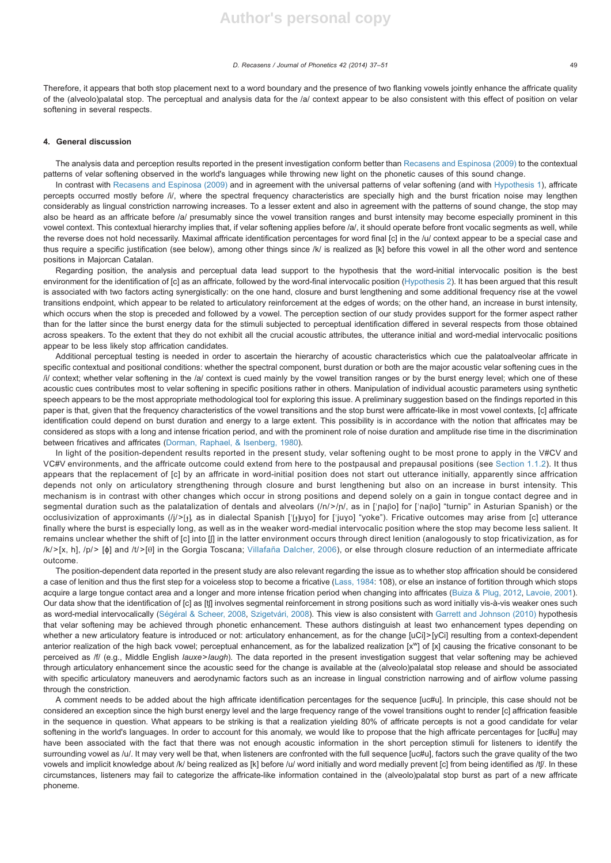Therefore, it appears that both stop placement next to a word boundary and the presence of two flanking vowels jointly enhance the affricate quality of the (alveolo)palatal stop. The perceptual and analysis data for the /a/ context appear to be also consistent with this effect of position on velar softening in several respects.

# 4. General discussion

The analysis data and perception results reported in the present investigation conform better than Recasens and Espinosa (2009) to the contextual patterns of velar softening observed in the world's languages while throwing new light on the phonetic causes of this sound change.

In contrast with Recasens and Espinosa (2009) and in agreement with the universal patterns of velar softening (and with Hypothesis 1), affricate percepts occurred mostly before /i/, where the spectral frequency characteristics are specially high and the burst frication noise may lengthen considerably as lingual constriction narrowing increases. To a lesser extent and also in agreement with the patterns of sound change, the stop may also be heard as an affricate before /a/ presumably since the vowel transition ranges and burst intensity may become especially prominent in this vowel context. This contextual hierarchy implies that, if velar softening applies before /a/, it should operate before front vocalic segments as well, while the reverse does not hold necessarily. Maximal affricate identification percentages for word final [c] in the /u/ context appear to be a special case and thus require a specific justification (see below), among other things since /k/ is realized as [k] before this vowel in all the other word and sentence positions in Majorcan Catalan.

Regarding position, the analysis and perceptual data lead support to the hypothesis that the word-initial intervocalic position is the best environment for the identification of [c] as an affricate, followed by the word-final intervocalic position (Hypothesis 2). It has been argued that this result is associated with two factors acting synergistically: on the one hand, closure and burst lengthening and some additional frequency rise at the vowel transitions endpoint, which appear to be related to articulatory reinforcement at the edges of words; on the other hand, an increase in burst intensity, which occurs when the stop is preceded and followed by a vowel. The perception section of our study provides support for the former aspect rather than for the latter since the burst energy data for the stimuli subjected to perceptual identification differed in several respects from those obtained across speakers. To the extent that they do not exhibit all the crucial acoustic attributes, the utterance initial and word-medial intervocalic positions appear to be less likely stop affrication candidates.

Additional perceptual testing is needed in order to ascertain the hierarchy of acoustic characteristics which cue the palatoalveolar affricate in specific contextual and positional conditions: whether the spectral component, burst duration or both are the major acoustic velar softening cues in the /i/ context; whether velar softening in the /a/ context is cued mainly by the vowel transition ranges or by the burst energy level; which one of these acoustic cues contributes most to velar softening in specific positions rather in others. Manipulation of individual acoustic parameters using synthetic speech appears to be the most appropriate methodological tool for exploring this issue. A preliminary suggestion based on the findings reported in this paper is that, given that the frequency characteristics of the vowel transitions and the stop burst were affricate-like in most vowel contexts, [c] affricate identification could depend on burst duration and energy to a large extent. This possibility is in accordance with the notion that affricates may be considered as stops with a long and intense frication period, and with the prominent role of noise duration and amplitude rise time in the discrimination between fricatives and affricates (Dorman, Raphael, & Isenberg, 1980).

In light of the position-dependent results reported in the present study, velar softening ought to be most prone to apply in the V#CV and VC#V environments, and the affricate outcome could extend from here to the postpausal and prepausal positions (see Section 1.1.2). It thus appears that the replacement of [c] by an affricate in word-initial position does not start out utterance initially, apparently since affrication depends not only on articulatory strengthening through closure and burst lengthening but also on an increase in burst intensity. This mechanism is in contrast with other changes which occur in strong positions and depend solely on a gain in tongue contact degree and in segmental duration such as the palatalization of dentals and alveolars (/n/>/n/, as in ['naβo] for ['naβo] "turnip" in Asturian Spanish) or the occlusivization of approximants  $(|i\rangle > |i\rangle)$ , as in dialectal Spanish ['|i|uɣo] for ['juɣo] "yoke"). Fricative outcomes may arise from [c] utterance finally where the burst is especially long, as well as in the weaker word-medial intervocalic position where the stop may become less salient. It remains unclear whether the shift of [c] into [ʃ] in the latter environment occurs through direct lenition (analogously to stop fricativization, as for /k/>[x, h], /p/> [ɸ] and /t/>[θ] in the Gorgia Toscana; Villafaña Dalcher, 2006), or else through closure reduction of an intermediate affricate outcome.

The position-dependent data reported in the present study are also relevant regarding the issue as to whether stop affrication should be considered a case of lenition and thus the first step for a voiceless stop to become a fricative (Lass, 1984: 108), or else an instance of fortition through which stops acquire a large tongue contact area and a longer and more intense frication period when changing into affricates (Buiza & Plug, 2012, Lavoie, 2001). Our data show that the identification of [c] as [tʃ] involves segmental reinforcement in strong positions such as word initially vis-à-vis weaker ones such as word-medial intervocalically (Ségéral & Scheer, 2008, Szigetvári, 2008). This view is also consistent with Garrett and Johnson (2010) hypothesis that velar softening may be achieved through phonetic enhancement. These authors distinguish at least two enhancement types depending on whether a new articulatory feature is introduced or not: articulatory enhancement, as for the change [uCi]>[yCi] resulting from a context-dependent anterior realization of the high back vowel; perceptual enhancement, as for the labalized realization  $[x^w]$  of  $[x]$  causing the fricative consonant to be perceived as /f/ (e.g., Middle English lauxe>laugh). The data reported in the present investigation suggest that velar softening may be achieved through articulatory enhancement since the acoustic seed for the change is available at the (alveolo)palatal stop release and should be associated with specific articulatory maneuvers and aerodynamic factors such as an increase in lingual constriction narrowing and of airflow volume passing through the constriction.

A comment needs to be added about the high affricate identification percentages for the sequence [uc#u]. In principle, this case should not be considered an exception since the high burst energy level and the large frequency range of the vowel transitions ought to render [c] affrication feasible in the sequence in question. What appears to be striking is that a realization yielding 80% of affricate percepts is not a good candidate for velar softening in the world's languages. In order to account for this anomaly, we would like to propose that the high affricate percentages for [uc#u] may have been associated with the fact that there was not enough acoustic information in the short perception stimuli for listeners to identify the surrounding vowel as /u/. It may very well be that, when listeners are confronted with the full sequence [uc#u], factors such the grave quality of the two vowels and implicit knowledge about /k/ being realized as [k] before /u/ word initially and word medially prevent [c] from being identified as /t[/. In these circumstances, listeners may fail to categorize the affricate-like information contained in the (alveolo)palatal stop burst as part of a new affricate phoneme.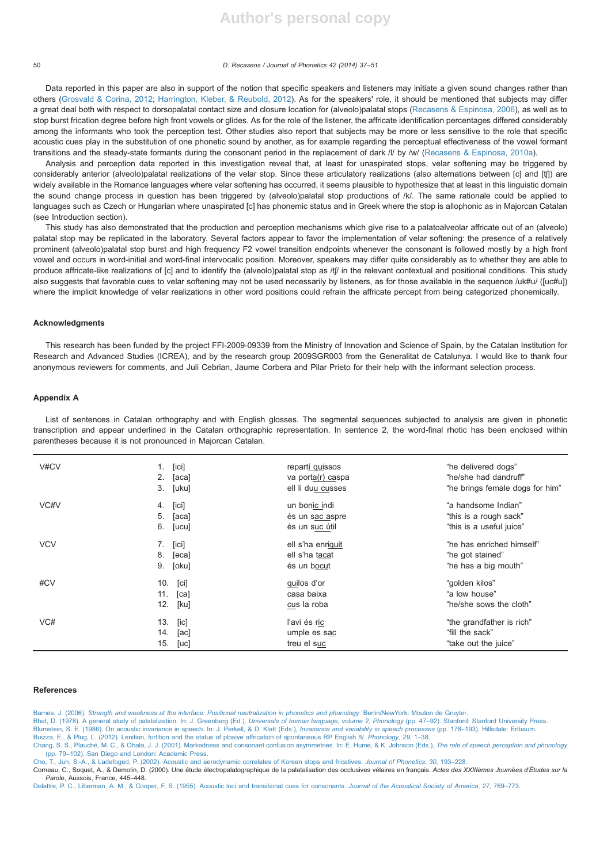Data reported in this paper are also in support of the notion that specific speakers and listeners may initiate a given sound changes rather than others (Grosvald & Corina, 2012; Harrington, Kleber, & Reubold, 2012). As for the speakers' role, it should be mentioned that subjects may differ a great deal both with respect to dorsopalatal contact size and closure location for (alveolo)palatal stops (Recasens & Espinosa, 2006), as well as to stop burst frication degree before high front vowels or glides. As for the role of the listener, the affricate identification percentages differed considerably among the informants who took the perception test. Other studies also report that subjects may be more or less sensitive to the role that specific acoustic cues play in the substitution of one phonetic sound by another, as for example regarding the perceptual effectiveness of the vowel formant transitions and the steady-state formants during the consonant period in the replacement of dark /l/ by /w/ (Recasens & Espinosa, 2010a).

Analysis and perception data reported in this investigation reveal that, at least for unaspirated stops, velar softening may be triggered by considerably anterior (alveolo)palatal realizations of the velar stop. Since these articulatory realizations (also alternations between [c] and [tʃ]) are widely available in the Romance languages where velar softening has occurred, it seems plausible to hypothesize that at least in this linguistic domain the sound change process in question has been triggered by (alveolo)palatal stop productions of /k/. The same rationale could be applied to languages such as Czech or Hungarian where unaspirated [c] has phonemic status and in Greek where the stop is allophonic as in Majorcan Catalan (see Introduction section).

This study has also demonstrated that the production and perception mechanisms which give rise to a palatoalveolar affricate out of an (alveolo) palatal stop may be replicated in the laboratory. Several factors appear to favor the implementation of velar softening: the presence of a relatively prominent (alveolo)palatal stop burst and high frequency F2 vowel transition endpoints whenever the consonant is followed mostly by a high front vowel and occurs in word-initial and word-final intervocalic position. Moreover, speakers may differ quite considerably as to whether they are able to produce affricate-like realizations of [c] and to identify the (alveolo)palatal stop as /t[/ in the relevant contextual and positional conditions. This study also suggests that favorable cues to velar softening may not be used necessarily by listeners, as for those available in the sequence /uk#u/ ([uc#u]) where the implicit knowledge of velar realizations in other word positions could refrain the affricate percept from being categorized phonemically.

# **Acknowledgments**

This research has been funded by the project FFI-2009-09339 from the Ministry of Innovation and Science of Spain, by the Catalan Institution for Research and Advanced Studies (ICREA), and by the research group 2009SGR003 from the Generalitat de Catalunya. I would like to thank four anonymous reviewers for comments, and Juli Cebrian, Jaume Corbera and Pilar Prieto for their help with the informant selection process.

# Appendix A

List of sentences in Catalan orthography and with English glosses. The segmental sequences subjected to analysis are given in phonetic transcription and appear underlined in the Catalan orthographic representation. In sentence 2, the word-final rhotic has been enclosed within parentheses because it is not pronounced in Majorcan Catalan.

| V#CV       | [ici]<br>1.<br>2.<br>[aca]<br>3.<br>[uku]                  | repartí quissos<br>va porta(r) caspa<br>ell li duu cusses | "he delivered dogs"<br>"he/she had dandruff"<br>"he brings female dogs for him" |
|------------|------------------------------------------------------------|-----------------------------------------------------------|---------------------------------------------------------------------------------|
| VC#V       | [ici]<br>4.<br>5.<br>[aca]<br>6.<br>[ucu]                  | un bonic indi<br>és un sac aspre<br>és un suc útil        | "a handsome Indian"<br>"this is a rough sack"<br>"this is a useful juice"       |
| <b>VCV</b> | 7.<br>[ici]<br>8.<br>[əca]<br>9.<br>[oku]                  | ell s'ha enriquit<br>ell s'ha tacat<br>és un bocut        | "he has enriched himself"<br>"he got stained"<br>"he has a big mouth"           |
| #CV        | $[c$ i]<br>10.<br>$\lceil ca \rceil$<br>11.<br>12.<br>[ku] | quilos d'or<br>casa baixa<br>cus la roba                  | "golden kilos"<br>"a low house"<br>"he/she sows the cloth"                      |
| VC#        | 13.<br>[ic]<br>14.<br>[ac]<br>15.<br>[uc]                  | l'avi és ric<br>umple es sac<br>treu el suc               | "the grandfather is rich"<br>"fill the sack"<br>"take out the juice"            |

# References

Barnes, J. (2006). Strength and weakness at the interface: Positional neutralization in phonetics and phonology. Berlin/NewYork: Mouton de Gruyter.

Bhat, D. (1978). A general study of palatalization. In: J. Greenberg (Ed.), Universals of human language, volume 2, Phonology (pp. 47–92). Stanford: Stanford University Press. Blumstein, S. E. (1986). On acoustic invariance in speech. In: J. Perkell, & D. Klatt (Eds.), Invariance and variability in speech processes (pp. 178–193). Hillsdale: Erlbaum.

Buizza, E., & Plug, L. (2012). Lenition, fortition and the status of plosive affrication of spontaneous RP English /t/. *Phonology*, 29, 1–38.<br>Chang, S. S., Plauché, M. C., & Ohala, J. J. (2001). Markedness and consonant c

(pp. 79–102). San Diego and London: Academic Press.

Cho, T., Jun, S.-A., & Ladefoged, P. (2002). Acoustic and aerodynamic correlates of Korean stops and fricatives. Journal of Phonetics, 30, 193–228.

Corneau, C., Soquet, A., & Demolin, D. (2000). Une étude électropalatographique de la palatalisation des occlusives vélaires en français. Actes des XXIIIèmes Journées d'Études sur la Parole, Aussois, France, 445–448.

Delattre, P. C., Liberman, A. M., & Cooper, F. S. (1955). Acoustic loci and transitional cues for consonants. Journal of the Acoustical Society of America, 27, 769–773.